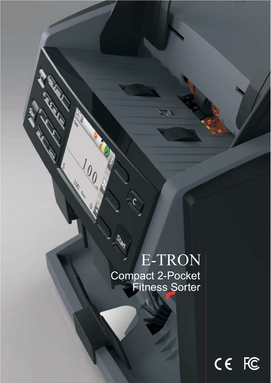## E-TRON Compact 2-Pocket Fitness Sorter

**ASY** 

**Construction Construction Construction Construction Construction Construction Const** 

**AND** 

 $\Theta_{\mu}$ 

 $\sqrt[l]{\ell_{0}}$ 

 $\theta$ 

100 es